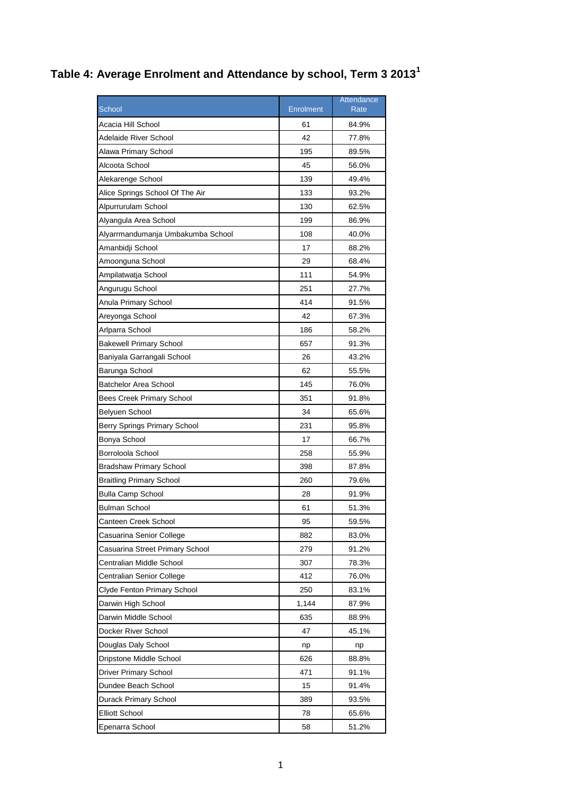## **Table 4: Average Enrolment and Attendance by school, Term 3 2013<sup>1</sup>**

|                                   |           | Attendance |
|-----------------------------------|-----------|------------|
| School                            | Enrolment | Rate       |
| Acacia Hill School                | 61        | 84.9%      |
| Adelaide River School             | 42        | 77.8%      |
| Alawa Primary School              | 195       | 89.5%      |
| Alcoota School                    | 45        | 56.0%      |
| Alekarenge School                 | 139       | 49.4%      |
| Alice Springs School Of The Air   | 133       | 93.2%      |
| Alpurrurulam School               | 130       | 62.5%      |
| Alyangula Area School             | 199       | 86.9%      |
| Alyarrmandumanja Umbakumba School | 108       | 40.0%      |
| Amanbidji School                  | 17        | 88.2%      |
| Amoonguna School                  | 29        | 68.4%      |
| Ampilatwatja School               | 111       | 54.9%      |
| Angurugu School                   | 251       | 27.7%      |
| Anula Primary School              | 414       | 91.5%      |
| Areyonga School                   | 42        | 67.3%      |
| Arlparra School                   | 186       | 58.2%      |
| <b>Bakewell Primary School</b>    | 657       | 91.3%      |
| Baniyala Garrangali School        | 26        | 43.2%      |
| Barunga School                    | 62        | 55.5%      |
| <b>Batchelor Area School</b>      | 145       | 76.0%      |
| <b>Bees Creek Primary School</b>  | 351       | 91.8%      |
| Belyuen School                    | 34        | 65.6%      |
| Berry Springs Primary School      | 231       | 95.8%      |
| Bonya School                      | 17        | 66.7%      |
| Borroloola School                 | 258       | 55.9%      |
| <b>Bradshaw Primary School</b>    | 398       | 87.8%      |
| <b>Braitling Primary School</b>   | 260       | 79.6%      |
| <b>Bulla Camp School</b>          | 28        | 91.9%      |
| <b>Bulman School</b>              | 61        | 51.3%      |
| Canteen Creek School              | 95        | 59.5%      |
| Casuarina Senior College          | 882       | 83.0%      |
| Casuarina Street Primary School   | 279       | 91.2%      |
| Centralian Middle School          | 307       | 78.3%      |
| Centralian Senior College         | 412       | 76.0%      |
| Clyde Fenton Primary School       | 250       | 83.1%      |
| Darwin High School                | 1,144     | 87.9%      |
| Darwin Middle School              | 635       | 88.9%      |
| Docker River School               | 47        | 45.1%      |
| Douglas Daly School               | np        | np         |
| Dripstone Middle School           | 626       | 88.8%      |
| Driver Primary School             | 471       | 91.1%      |
| Dundee Beach School               | 15        | 91.4%      |
| Durack Primary School             | 389       | 93.5%      |
| <b>Elliott School</b>             | 78        | 65.6%      |
| Epenarra School                   | 58        | 51.2%      |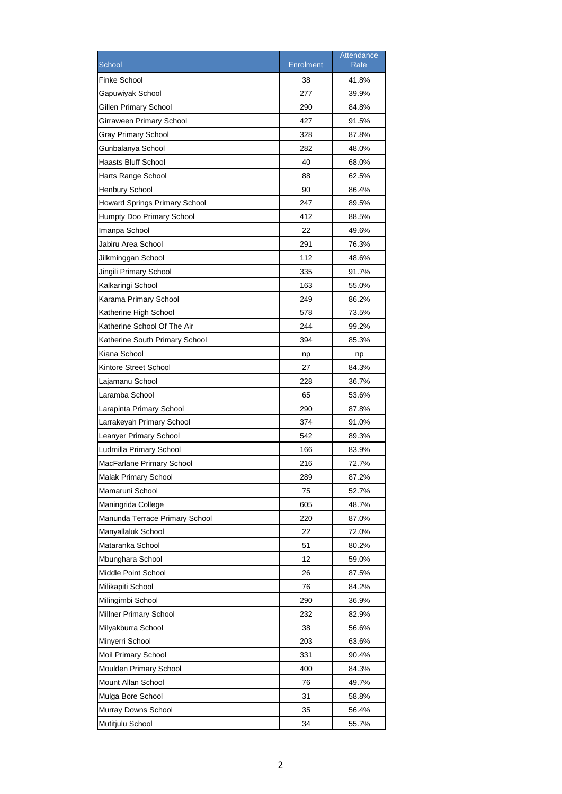|                                      |                  | Attendance  |
|--------------------------------------|------------------|-------------|
| <b>School</b>                        | <b>Enrolment</b> | <b>Rate</b> |
| <b>Finke School</b>                  | 38               | 41.8%       |
| Gapuwiyak School                     | 277              | 39.9%       |
| Gillen Primary School                | 290              | 84.8%       |
| Girraween Primary School             | 427              | 91.5%       |
| Gray Primary School                  | 328              | 87.8%       |
| Gunbalanya School                    | 282              | 48.0%       |
| Haasts Bluff School                  | 40               | 68.0%       |
| Harts Range School                   | 88               | 62.5%       |
| <b>Henbury School</b>                | 90               | 86.4%       |
| <b>Howard Springs Primary School</b> | 247              | 89.5%       |
| Humpty Doo Primary School            | 412              | 88.5%       |
| Imanpa School                        | 22               | 49.6%       |
| Jabiru Area School                   | 291              | 76.3%       |
| Jilkminggan School                   | 112              | 48.6%       |
| Jingili Primary School               | 335              | 91.7%       |
| Kalkaringi School                    | 163              | 55.0%       |
| Karama Primary School                | 249              | 86.2%       |
| Katherine High School                | 578              | 73.5%       |
| Katherine School Of The Air          | 244              | 99.2%       |
| Katherine South Primary School       | 394              | 85.3%       |
| Kiana School                         | np               | np          |
| Kintore Street School                | 27               | 84.3%       |
| Lajamanu School                      | 228              | 36.7%       |
| Laramba School                       | 65               | 53.6%       |
| Larapinta Primary School             | 290              | 87.8%       |
| Larrakeyah Primary School            | 374              | 91.0%       |
| Leanyer Primary School               | 542              | 89.3%       |
| Ludmilla Primary School              | 166              | 83.9%       |
| MacFarlane Primary School            | 216              | 72.7%       |
| Malak Primary School                 | 289              | 87.2%       |
| Mamaruni School                      | 75               | 52.7%       |
| Maningrida College                   | 605              | 48.7%       |
| Manunda Terrace Primary School       | 220              | 87.0%       |
| Manyallaluk School                   | 22               | 72.0%       |
| Mataranka School                     | 51               | 80.2%       |
| Mbunghara School                     | 12               | 59.0%       |
| Middle Point School                  | 26               | 87.5%       |
| Milikapiti School                    | 76               | 84.2%       |
| Milingimbi School                    | 290              | 36.9%       |
| Millner Primary School               | 232              | 82.9%       |
| Milyakburra School                   | 38               | 56.6%       |
| Minyerri School                      | 203              | 63.6%       |
| Moil Primary School                  | 331              | 90.4%       |
| Moulden Primary School               | 400              | 84.3%       |
| Mount Allan School                   | 76               | 49.7%       |
| Mulga Bore School                    | 31               | 58.8%       |
| Murray Downs School                  | 35               | 56.4%       |
| Mutitjulu School                     | 34               | 55.7%       |
|                                      |                  |             |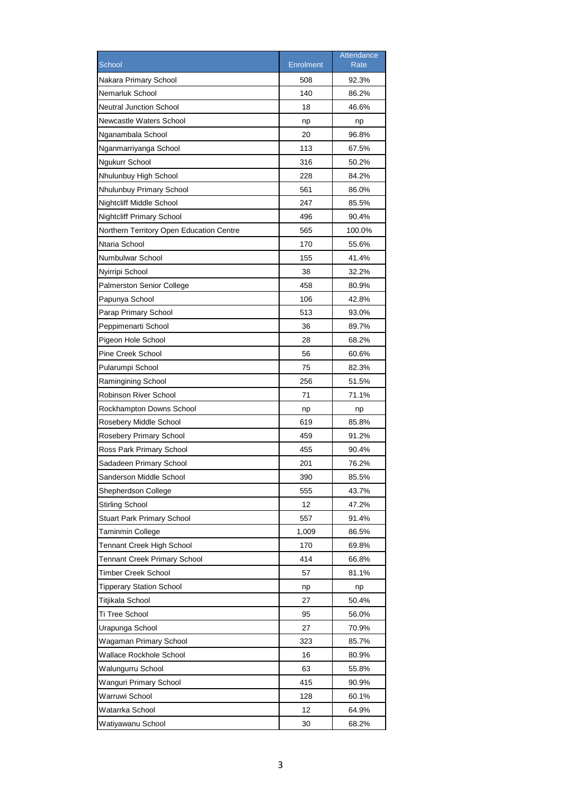|                                          |                  | Attendance  |
|------------------------------------------|------------------|-------------|
| School                                   | <b>Enrolment</b> | <b>Rate</b> |
| Nakara Primary School                    | 508              | 92.3%       |
| Nemarluk School                          | 140              | 86.2%       |
| <b>Neutral Junction School</b>           | 18               | 46.6%       |
| Newcastle Waters School                  | np               | np          |
| Nganambala School                        | 20               | 96.8%       |
| Nganmarriyanga School                    | 113              | 67.5%       |
| Ngukurr School                           | 316              | 50.2%       |
| Nhulunbuy High School                    | 228              | 84.2%       |
| Nhulunbuy Primary School                 | 561              | 86.0%       |
| Nightcliff Middle School                 | 247              | 85.5%       |
| <b>Nightcliff Primary School</b>         | 496              | 90.4%       |
| Northern Territory Open Education Centre | 565              | 100.0%      |
| Ntaria School                            | 170              | 55.6%       |
| Numbulwar School                         | 155              | 41.4%       |
| Nyirripi School                          | 38               | 32.2%       |
| <b>Palmerston Senior College</b>         | 458              | 80.9%       |
| Papunya School                           | 106              | 42.8%       |
| Parap Primary School                     | 513              | 93.0%       |
| Peppimenarti School                      | 36               | 89.7%       |
| Pigeon Hole School                       | 28               | 68.2%       |
| Pine Creek School                        | 56               | 60.6%       |
| Pularumpi School                         | 75               | 82.3%       |
| Ramingining School                       | 256              | 51.5%       |
| <b>Robinson River School</b>             | 71               | 71.1%       |
| Rockhampton Downs School                 | np               | np          |
| Rosebery Middle School                   | 619              | 85.8%       |
| Rosebery Primary School                  | 459              | 91.2%       |
| Ross Park Primary School                 | 455              | 90.4%       |
| Sadadeen Primary School                  | 201              | 76.2%       |
| Sanderson Middle School                  | 390              | 85.5%       |
| Shepherdson College                      | 555              | 43.7%       |
| <b>Stirling School</b>                   | 12               | 47.2%       |
| <b>Stuart Park Primary School</b>        | 557              | 91.4%       |
| Taminmin College                         | 1,009            | 86.5%       |
| Tennant Creek High School                | 170              | 69.8%       |
| <b>Tennant Creek Primary School</b>      | 414              | 66.8%       |
| Timber Creek School                      | 57               | 81.1%       |
| <b>Tipperary Station School</b>          | np               | np          |
| Titjikala School                         | 27               | 50.4%       |
| Ti Tree School                           | 95               | 56.0%       |
| Urapunga School                          | 27               | 70.9%       |
| Wagaman Primary School                   | 323              | 85.7%       |
| Wallace Rockhole School                  | 16               | 80.9%       |
| Walungurru School                        | 63               | 55.8%       |
| Wanguri Primary School                   | 415              | 90.9%       |
| Warruwi School                           | 128              | 60.1%       |
| Watarrka School                          | 12               | 64.9%       |
| Watiyawanu School                        | 30               | 68.2%       |